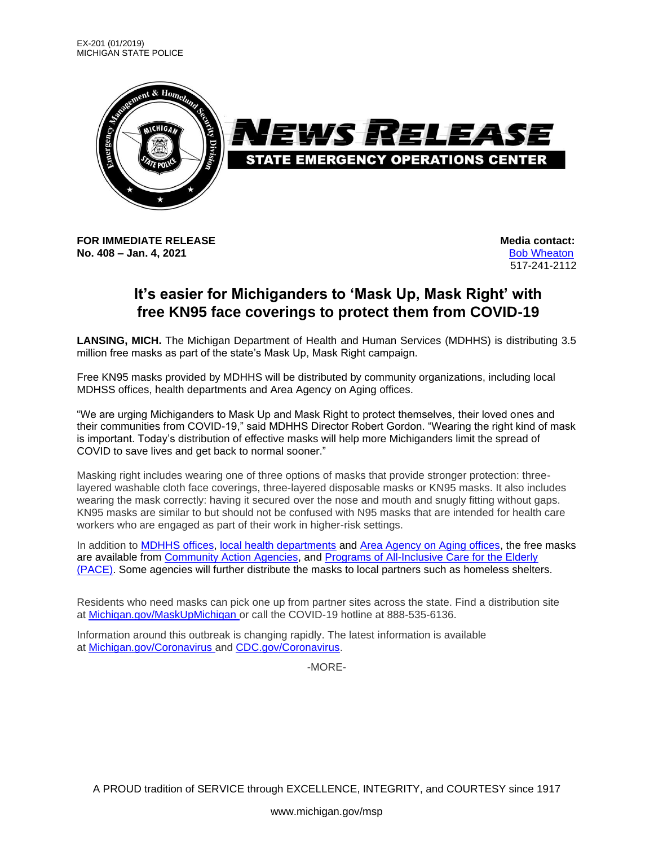

**FOR IMMEDIATE RELEASE Media** contact: **No. 408 – Jan. 4, 2021** [Bob Wheaton](mailto:wheatonb@michigan.gov)

517-241-2112

## **It's easier for Michiganders to 'Mask Up, Mask Right' with free KN95 face coverings to protect them from COVID-19**

**LANSING, MICH.** The Michigan Department of Health and Human Services (MDHHS) is distributing 3.5 million free masks as part of the state's Mask Up, Mask Right campaign.

Free KN95 masks provided by MDHHS will be distributed by community organizations, including local MDHSS offices, health departments and Area Agency on Aging offices.

"We are urging Michiganders to Mask Up and Mask Right to protect themselves, their loved ones and their communities from COVID-19," said MDHHS Director Robert Gordon. "Wearing the right kind of mask is important. Today's distribution of effective masks will help more Michiganders limit the spread of COVID to save lives and get back to normal sooner."

Masking right includes wearing one of three options of masks that provide stronger protection: threelayered washable cloth face coverings, three-layered disposable masks or KN95 masks. It also includes wearing the mask correctly: having it secured over the nose and mouth and snugly fitting without gaps. KN95 masks are similar to but should not be confused with N95 masks that are intended for health care workers who are engaged as part of their work in higher-risk settings.

In addition to [MDHHS offices,](https://www.michigan.gov/mdhhs/0,5885,7-339-73970_5461---,00.html) [local health departments](https://www.michigan.gov/mdhhs/0,5885,7-339-73970_5461_74040---,00.html) and [Area Agency on Aging offices,](https://www.michigan.gov/osa/1,4635,7-234-64081-295815--,00.html) the free masks are available from [Community Action Agencies,](https://mcac.memberclicks.net/agency-map) and [Programs of All-Inclusive Care for the Elderly](https://www.michigan.gov/mdhhs/0,5885,7-339-71547_4860_78446_78448-87437--,00.html)  [\(PACE\).](https://www.michigan.gov/mdhhs/0,5885,7-339-71547_4860_78446_78448-87437--,00.html) Some agencies will further distribute the masks to local partners such as homeless shelters.

Residents who need masks can pick one up from partner sites across the state. Find a distribution site at [Michigan.gov/MaskUpMichigan](https://www.michigan.gov/coronavirus/0,9753,7-406-100997_100998---,00.html) or call the COVID-19 hotline at 888-535-6136.

Information around this outbreak is changing rapidly. The latest information is available at [Michigan.gov/Coronavirus](https://www.michigan.gov/coronavirus) and [CDC.gov/Coronavirus.](https://www.cdc.gov/coronavirus/2019-ncov/index.html?CDC_AA_refVal=https%3A%2F%2Fwww.cdc.gov%2Fcoronavirus%2Findex.html)

-MORE-

A PROUD tradition of SERVICE through EXCELLENCE, INTEGRITY, and COURTESY since 1917